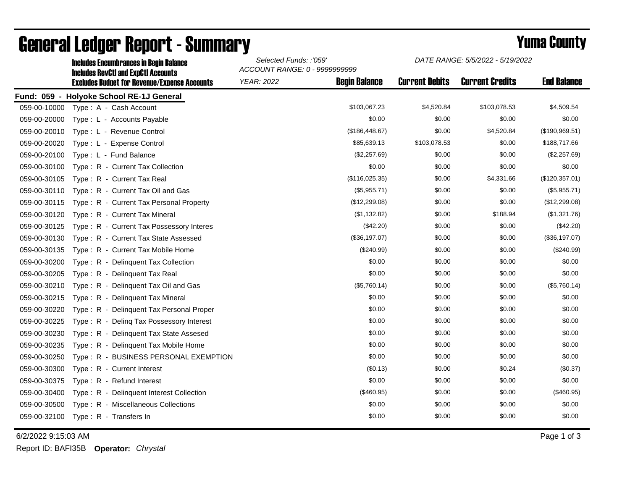|              | IIIGIUUSS EIIGUINDI "ANGSS IN DEUNI DAIANGS<br><b>Includes RevCtI and ExpCtI Accounts</b> | ACCOUNT RANGE: 0 - 9999999999 |                      |                       |                        |                    |
|--------------|-------------------------------------------------------------------------------------------|-------------------------------|----------------------|-----------------------|------------------------|--------------------|
|              | <b>Excludes Budget for Revenue/Expense Accounts</b>                                       | <b>YEAR: 2022</b>             | <b>Begin Balance</b> | <b>Current Debits</b> | <b>Current Credits</b> | <b>End Balance</b> |
|              | Fund: 059 - Holyoke School RE-1J General                                                  |                               |                      |                       |                        |                    |
| 059-00-10000 | Type: A - Cash Account                                                                    |                               | \$103,067.23         | \$4,520.84            | \$103,078.53           | \$4,509.54         |
| 059-00-20000 | Type: L - Accounts Payable                                                                |                               | \$0.00               | \$0.00                | \$0.00                 | \$0.00             |
| 059-00-20010 | Type: L - Revenue Control                                                                 |                               | (\$186,448.67)       | \$0.00                | \$4,520.84             | (\$190,969.51)     |
| 059-00-20020 | Type: L - Expense Control                                                                 |                               | \$85,639.13          | \$103,078.53          | \$0.00                 | \$188,717.66       |
| 059-00-20100 | Type: L - Fund Balance                                                                    |                               | (\$2,257.69)         | \$0.00                | \$0.00                 | (\$2,257.69)       |
| 059-00-30100 | Type: R - Current Tax Collection                                                          |                               | \$0.00               | \$0.00                | \$0.00                 | \$0.00             |
| 059-00-30105 | Type: R - Current Tax Real                                                                |                               | (\$116,025.35)       | \$0.00                | \$4,331.66             | (\$120,357.01)     |
| 059-00-30110 | Type: R - Current Tax Oil and Gas                                                         |                               | (\$5,955.71)         | \$0.00                | \$0.00                 | (\$5,955.71)       |
| 059-00-30115 | Type: R - Current Tax Personal Property                                                   |                               | (\$12,299.08)        | \$0.00                | \$0.00                 | (\$12,299.08)      |
| 059-00-30120 | Type: R - Current Tax Mineral                                                             |                               | (\$1,132.82)         | \$0.00                | \$188.94               | (\$1,321.76)       |
| 059-00-30125 | Type: R - Current Tax Possessory Interes                                                  |                               | (\$42.20)            | \$0.00                | \$0.00                 | (\$42.20)          |
| 059-00-30130 | Type: R - Current Tax State Assessed                                                      |                               | (\$36,197.07)        | \$0.00                | \$0.00                 | (\$36,197.07)      |
| 059-00-30135 | Type: R - Current Tax Mobile Home                                                         |                               | $(\$240.99)$         | \$0.00                | \$0.00                 | $(\$240.99)$       |
| 059-00-30200 | Type: R - Delinquent Tax Collection                                                       |                               | \$0.00               | \$0.00                | \$0.00                 | \$0.00             |
| 059-00-30205 | Type: R - Delinguent Tax Real                                                             |                               | \$0.00               | \$0.00                | \$0.00                 | \$0.00             |
| 059-00-30210 | Delinguent Tax Oil and Gas<br>$Type: R -$                                                 |                               | (\$5,760.14)         | \$0.00                | \$0.00                 | (\$5,760.14)       |
| 059-00-30215 | Type: R - Delinquent Tax Mineral                                                          |                               | \$0.00               | \$0.00                | \$0.00                 | \$0.00             |
| 059-00-30220 | Type: R - Delinquent Tax Personal Proper                                                  |                               | \$0.00               | \$0.00                | \$0.00                 | \$0.00             |
| 059-00-30225 | Type: R - Deling Tax Possessory Interest                                                  |                               | \$0.00               | \$0.00                | \$0.00                 | \$0.00             |
| 059-00-30230 | Type: R - Delinquent Tax State Assesed                                                    |                               | \$0.00               | \$0.00                | \$0.00                 | \$0.00             |
| 059-00-30235 | Type: R - Delinquent Tax Mobile Home                                                      |                               | \$0.00               | \$0.00                | \$0.00                 | \$0.00             |
| 059-00-30250 | Type: R - BUSINESS PERSONAL EXEMPTION                                                     |                               | \$0.00               | \$0.00                | \$0.00                 | \$0.00             |
| 059-00-30300 | Type: R - Current Interest                                                                |                               | (\$0.13)             | \$0.00                | \$0.24                 | (\$0.37)           |
| 059-00-30375 | Type: R - Refund Interest                                                                 |                               | \$0.00               | \$0.00                | \$0.00                 | \$0.00             |
| 059-00-30400 | Type: R - Delinquent Interest Collection                                                  |                               | (\$460.95)           | \$0.00                | \$0.00                 | (\$460.95)         |
| 059-00-30500 | Type: R - Miscellaneous Collections                                                       |                               | \$0.00               | \$0.00                | \$0.00                 | \$0.00             |
| 059-00-32100 | Type: R - Transfers In                                                                    |                               | \$0.00               | \$0.00                | \$0.00                 | \$0.00             |

## General Ledger Report - Summary **Example 2018** Yuma County

Includes Encumbrances in Begin Balance *Selected Funds: :'059'*

6/2/2022 9:15:03 AM Page 1 of 3

Report ID: BAFI35B **Operator:** *Chrystal*

*DATE RANGE: 5/5/2022 - 5/19/2022*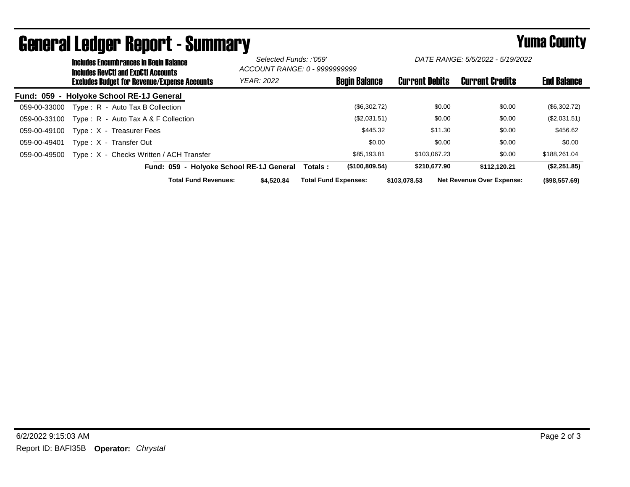|              | <b>Includes Encumbrances in Begin Balance</b><br><b>Includes RevCtI and ExpCtI Accounts</b> |                                          |                                          | Selected Funds: :'059'<br>ACCOUNT RANGE: 0 - 9999999999 |                             | DATE RANGE: 5/5/2022 - 5/19/2022 |                       |                                  |                    |
|--------------|---------------------------------------------------------------------------------------------|------------------------------------------|------------------------------------------|---------------------------------------------------------|-----------------------------|----------------------------------|-----------------------|----------------------------------|--------------------|
|              | <b>Excludes Budget for Revenue/Expense Accounts</b>                                         |                                          |                                          | <b>YEAR: 2022</b>                                       |                             | <b>Begin Balance</b>             | <b>Current Debits</b> | <b>Current Credits</b>           | <b>End Balance</b> |
|              |                                                                                             | Fund: 059 - Holyoke School RE-1J General |                                          |                                                         |                             |                                  |                       |                                  |                    |
| 059-00-33000 |                                                                                             | Type: R - Auto Tax B Collection          |                                          |                                                         |                             | (\$6,302.72)                     | \$0.00                | \$0.00                           | (\$6,302.72)       |
| 059-00-33100 |                                                                                             | Type: R - Auto Tax A & F Collection      |                                          |                                                         |                             | (\$2,031.51)                     | \$0.00                | \$0.00                           | (\$2,031.51)       |
| 059-00-49100 |                                                                                             | Type: X - Treasurer Fees                 |                                          |                                                         |                             | \$445.32                         | \$11.30               | \$0.00                           | \$456.62           |
| 059-00-49401 |                                                                                             | Type: X - Transfer Out                   |                                          |                                                         |                             | \$0.00                           | \$0.00                | \$0.00                           | \$0.00             |
| 059-00-49500 |                                                                                             | Type: X - Checks Written / ACH Transfer  |                                          |                                                         |                             | \$85.193.81                      | \$103,067.23          | \$0.00                           | \$188,261.04       |
|              |                                                                                             |                                          | Fund: 059 - Holvoke School RE-1J General |                                                         | Totals :                    | (\$100,809.54)                   | \$210,677.90          | \$112.120.21                     | (\$2,251.85)       |
|              |                                                                                             |                                          | <b>Total Fund Revenues:</b>              | \$4.520.84                                              | <b>Total Fund Expenses:</b> |                                  | \$103.078.53          | <b>Net Revenue Over Expense:</b> | (\$98,557.69)      |

## General Ledger Report - Summary **Example 2018** Yuma County